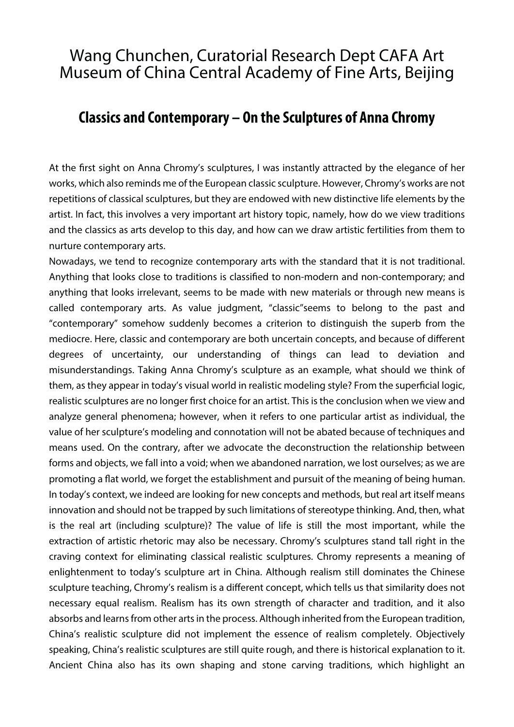## Wang Chunchen, Curatorial Research Dept CAFA Art Museum of China Central Academy of Fine Arts, Beijing

## **Classics and Contemporary – On the Sculptures of Anna Chromy**

At the first sight on Anna Chromy's sculptures, I was instantly attracted by the elegance of her works, which also reminds me of the European classic sculpture. However, Chromy's works are not repetitions of classical sculptures, but they are endowed with new distinctive life elements by the artist. In fact, this involves a very important art history topic, namely, how do we view traditions and the classics as arts develop to this day, and how can we draw artistic fertilities from them to nurture contemporary arts.

Nowadays, we tend to recognize contemporary arts with the standard that it is not traditional. Anything that looks close to traditions is classified to non-modern and non-contemporary; and anything that looks irrelevant, seems to be made with new materials or through new means is called contemporary arts. As value judgment, "classic"seems to belong to the past and "contemporary" somehow suddenly becomes a criterion to distinguish the superb from the mediocre. Here, classic and contemporary are both uncertain concepts, and because of different degrees of uncertainty, our understanding of things can lead to deviation and misunderstandings. Taking Anna Chromy's sculpture as an example, what should we think of them, as they appear in today's visual world in realistic modeling style? From the superficial logic, realistic sculptures are no longer first choice for an artist. This is the conclusion when we view and analyze general phenomena; however, when it refers to one particular artist as individual, the value of her sculpture's modeling and connotation will not be abated because of techniques and means used. On the contrary, after we advocate the deconstruction the relationship between forms and objects, we fall into a void; when we abandoned narration, we lost ourselves; as we are promoting a flat world, we forget the establishment and pursuit of the meaning of being human. In today's context, we indeed are looking for new concepts and methods, but real art itself means innovation and should not be trapped by such limitations of stereotype thinking. And, then, what is the real art (including sculpture)? The value of life is still the most important, while the extraction of artistic rhetoric may also be necessary. Chromy's sculptures stand tall right in the craving context for eliminating classical realistic sculptures. Chromy represents a meaning of enlightenment to today's sculpture art in China. Although realism still dominates the Chinese sculpture teaching, Chromy's realism is a different concept, which tells us that similarity does not necessary equal realism. Realism has its own strength of character and tradition, and it also absorbs and learns from other arts in the process. Although inherited from the European tradition, China's realistic sculpture did not implement the essence of realism completely. Objectively speaking, China's realistic sculptures are still quite rough, and there is historical explanation to it. Ancient China also has its own shaping and stone carving traditions, which highlight an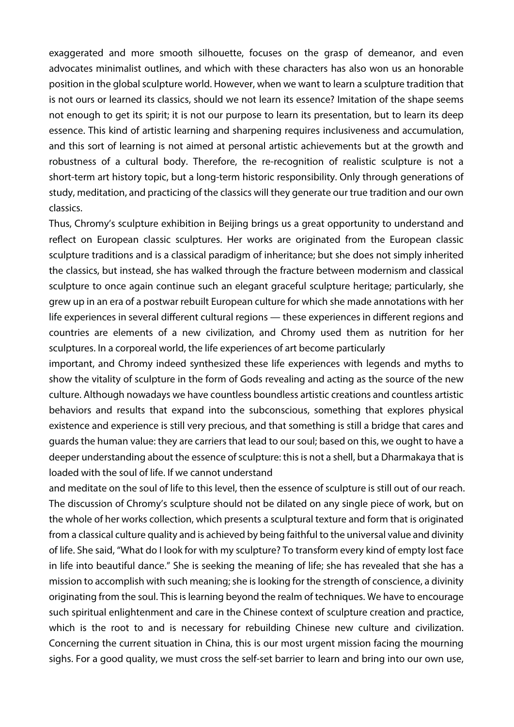exaggerated and more smooth silhouette, focuses on the grasp of demeanor, and even advocates minimalist outlines, and which with these characters has also won us an honorable position in the global sculpture world. However, when we want to learn a sculpture tradition that is not ours or learned its classics, should we not learn its essence? Imitation of the shape seems not enough to get its spirit; it is not our purpose to learn its presentation, but to learn its deep essence. This kind of artistic learning and sharpening requires inclusiveness and accumulation, and this sort of learning is not aimed at personal artistic achievements but at the growth and robustness of a cultural body. Therefore, the re-recognition of realistic sculpture is not a short-term art history topic, but a long-term historic responsibility. Only through generations of study, meditation, and practicing of the classics will they generate our true tradition and our own classics.

Thus, Chromy's sculpture exhibition in Beijing brings us a great opportunity to understand and reflect on European classic sculptures. Her works are originated from the European classic sculpture traditions and is a classical paradigm of inheritance; but she does not simply inherited the classics, but instead, she has walked through the fracture between modernism and classical sculpture to once again continue such an elegant graceful sculpture heritage; particularly, she grew up in an era of a postwar rebuilt European culture for which she made annotations with her life experiences in several different cultural regions — these experiences in different regions and countries are elements of a new civilization, and Chromy used them as nutrition for her sculptures. In a corporeal world, the life experiences of art become particularly

important, and Chromy indeed synthesized these life experiences with legends and myths to show the vitality of sculpture in the form of Gods revealing and acting as the source of the new culture. Although nowadays we have countless boundless artistic creations and countless artistic behaviors and results that expand into the subconscious, something that explores physical existence and experience is still very precious, and that something is still a bridge that cares and guards the human value: they are carriers that lead to our soul; based on this, we ought to have a deeper understanding about the essence of sculpture: this is not a shell, but a Dharmakaya that is loaded with the soul of life. If we cannot understand

and meditate on the soul of life to this level, then the essence of sculpture is still out of our reach. The discussion of Chromy's sculpture should not be dilated on any single piece of work, but on the whole of her works collection, which presents a sculptural texture and form that is originated from a classical culture quality and is achieved by being faithful to the universal value and divinity of life. She said, "What do I look for with my sculpture? To transform every kind of empty lost face in life into beautiful dance." She is seeking the meaning of life; she has revealed that she has a mission to accomplish with such meaning; she is looking for the strength of conscience, a divinity originating from the soul. This is learning beyond the realm of techniques. We have to encourage such spiritual enlightenment and care in the Chinese context of sculpture creation and practice, which is the root to and is necessary for rebuilding Chinese new culture and civilization. Concerning the current situation in China, this is our most urgent mission facing the mourning sighs. For a good quality, we must cross the self-set barrier to learn and bring into our own use,